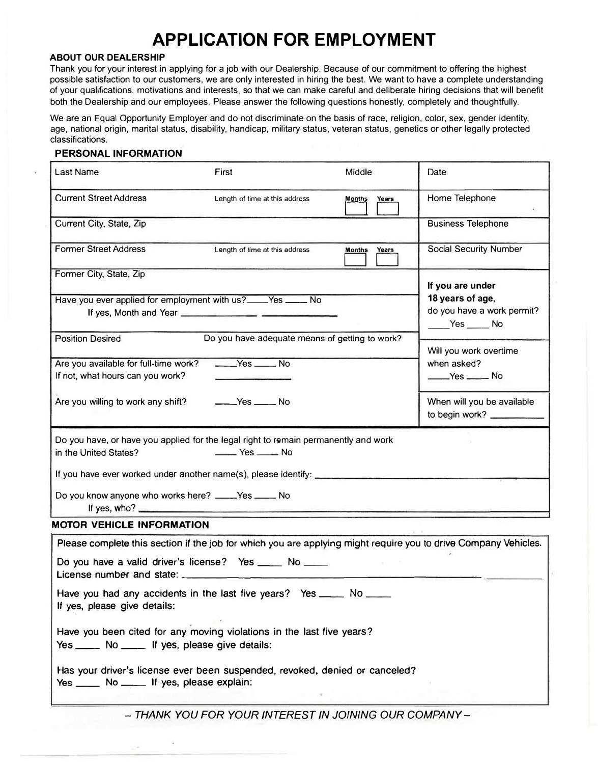# **APPLICATION FOR EMPLOYMENT**

### **ABOUT OUR DEALERSHIP**

Thank you for your interest in applying for a job with our Dealership. Because of our commitment to offering the highest possible satisfaction to our customers, we are only interested in hiring the best. We want to have a complete understanding of your qualifications, motivations and interests, so that we can make careful and deliberate hiring decisions that will benefit both the Dealership and our employees. Please answer the following questions honestly, completely and thoughtfully.

We are an Equal Opportunity Employer and do not discriminate on the basis of race, religion, color, sex, gender identity, age, national origin, marital status, disability, handicap, military status, veteran status, genetics or other legally protected classifications.

#### **PERSONAL INFORMATION**

| Last Name                                                                                                                                                                                                                                                                                | First                                            | Middle                        | Date                                         |  |
|------------------------------------------------------------------------------------------------------------------------------------------------------------------------------------------------------------------------------------------------------------------------------------------|--------------------------------------------------|-------------------------------|----------------------------------------------|--|
| <b>Current Street Address</b>                                                                                                                                                                                                                                                            | Length of time at this address                   | <b>Months</b><br><b>Years</b> | Home Telephone                               |  |
| Current City, State, Zip                                                                                                                                                                                                                                                                 |                                                  |                               | <b>Business Telephone</b>                    |  |
| <b>Former Street Address</b>                                                                                                                                                                                                                                                             | Length of time at this address                   | <b>Months</b><br>Years        | <b>Social Security Number</b>                |  |
| Former City, State, Zip                                                                                                                                                                                                                                                                  |                                                  |                               | If you are under                             |  |
| Have you ever applied for employment with us?____Yes _____ No                                                                                                                                                                                                                            |                                                  |                               | 18 years of age,                             |  |
|                                                                                                                                                                                                                                                                                          | If yes, Month and Year                           |                               | do you have a work permit?<br>Yes No         |  |
| <b>Position Desired</b>                                                                                                                                                                                                                                                                  | Do you have adequate means of getting to work?   |                               | Will you work overtime                       |  |
| Are you available for full-time work?                                                                                                                                                                                                                                                    | $\xrightarrow{\text{Yes}}$ No                    |                               | when asked?                                  |  |
| If not, what hours can you work?                                                                                                                                                                                                                                                         |                                                  |                               | $Yes$ No                                     |  |
| Are you willing to work any shift?                                                                                                                                                                                                                                                       | $Yes$ No                                         |                               | When will you be available<br>to begin work? |  |
| Do you have, or have you applied for the legal right to remain permanently and work                                                                                                                                                                                                      |                                                  |                               |                                              |  |
| in the United States?                                                                                                                                                                                                                                                                    | $\rule{1em}{0.15mm}$ Yes $\rule{1em}{0.15mm}$ No |                               |                                              |  |
| If you have ever worked under another name(s), please identify: __________                                                                                                                                                                                                               |                                                  |                               |                                              |  |
| Do you know anyone who works here? _____Yes _____ No<br>If yes, who? $\frac{1}{2}$ is the set of the set of the set of the set of the set of the set of the set of the set of the set of the set of the set of the set of the set of the set of the set of the set of the set of the set |                                                  |                               |                                              |  |
| <b>MOTOR VEHICLE INFORMATION</b>                                                                                                                                                                                                                                                         |                                                  |                               |                                              |  |
| Please complete this section if the job for which you are applying might require you to drive Company Vehicles.                                                                                                                                                                          |                                                  |                               |                                              |  |
| Do you have a valid driver's license? Yes _____ No ____<br>License number and state:                                                                                                                                                                                                     |                                                  |                               |                                              |  |
| Have you had any accidents in the last five years? Yes ____ No ____<br>If yes, please give details:                                                                                                                                                                                      |                                                  |                               |                                              |  |
| Have you been cited for any moving violations in the last five years?<br>Yes _____ No _____ If yes, please give details:                                                                                                                                                                 |                                                  |                               |                                              |  |
| Has your driver's license ever been suspended, revoked, denied or canceled?<br>Yes _____ No _____ If yes, please explain:                                                                                                                                                                |                                                  |                               |                                              |  |

*- THANK YOU FOR YOUR INTEREST IN JOINING OUR COMPANY -*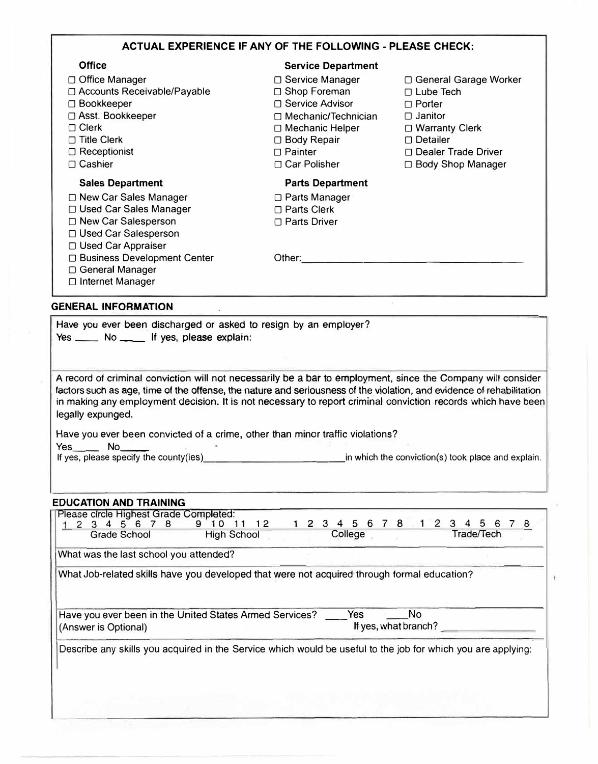| <b>ACTUAL EXPERIENCE IF ANY OF THE FOLLOWING - PLEASE CHECK:</b>                                                                                                                                                                                                                                                                                                                                                                                             |                                                                                                                                                             |                                                                                                                                                                  |  |  |
|--------------------------------------------------------------------------------------------------------------------------------------------------------------------------------------------------------------------------------------------------------------------------------------------------------------------------------------------------------------------------------------------------------------------------------------------------------------|-------------------------------------------------------------------------------------------------------------------------------------------------------------|------------------------------------------------------------------------------------------------------------------------------------------------------------------|--|--|
| <b>Office</b>                                                                                                                                                                                                                                                                                                                                                                                                                                                | <b>Service Department</b>                                                                                                                                   |                                                                                                                                                                  |  |  |
| □ Office Manager<br>□ Accounts Receivable/Payable<br>□ Bookkeeper<br>□ Asst. Bookkeeper<br>$\Box$ Clerk<br>$\Box$ Title Clerk<br>$\Box$ Receptionist<br>□ Cashier                                                                                                                                                                                                                                                                                            | □ Service Manager<br>□ Shop Foreman<br>□ Service Advisor<br>□ Mechanic/Technician<br>□ Mechanic Helper<br>□ Body Repair<br>$\Box$ Painter<br>□ Car Polisher | □ General Garage Worker<br>□ Lube Tech<br>$\Box$ Porter<br>$\Box$ Janitor<br>□ Warranty Clerk<br>$\Box$ Detailer<br>□ Dealer Trade Driver<br>□ Body Shop Manager |  |  |
| <b>Sales Department</b>                                                                                                                                                                                                                                                                                                                                                                                                                                      | <b>Parts Department</b>                                                                                                                                     |                                                                                                                                                                  |  |  |
| □ New Car Sales Manager<br>□ Used Car Sales Manager<br>□ New Car Salesperson<br>□ Used Car Salesperson<br>□ Used Car Appraiser<br>□ Business Development Center<br>□ General Manager<br>□ Internet Manager                                                                                                                                                                                                                                                   | □ Parts Manager<br>□ Parts Clerk<br>□ Parts Driver<br>Other:                                                                                                |                                                                                                                                                                  |  |  |
| <b>GENERAL INFORMATION</b>                                                                                                                                                                                                                                                                                                                                                                                                                                   |                                                                                                                                                             |                                                                                                                                                                  |  |  |
| Have you ever been discharged or asked to resign by an employer?<br>Yes ______ No _____ If yes, please explain:                                                                                                                                                                                                                                                                                                                                              |                                                                                                                                                             |                                                                                                                                                                  |  |  |
| A record of criminal conviction will not necessarily be a bar to employment, since the Company will consider<br>factors such as age, time of the offense, the nature and seriousness of the violation, and evidence of rehabilitation<br>in making any employment decision. It is not necessary to report criminal conviction records which have been<br>legally expunged.<br>Lloyie you over hoop equipped of a stime, other than minor traffic violations? |                                                                                                                                                             |                                                                                                                                                                  |  |  |

Have you ever been convicted of a crime, other than minor traffic violations?  $Yes$   $No$   $No$ 

| If yes, please specify the county(ies) | in which the conviction(s) took place and explain. |
|----------------------------------------|----------------------------------------------------|
|----------------------------------------|----------------------------------------------------|

## **EDUCATION AND TRAINING**

| 2 3 4 5 6 7 8 1 2 3 4 5 6<br>12<br>78<br>-8<br>567<br>9.<br>Trade/Tech<br><b>High School</b><br>College<br>Grade School<br>What was the last school you attended?<br>What Job-related skills have you developed that were not acquired through formal education?<br>Yes<br>No.<br>Have you ever been in the United States Armed Services?<br>If yes, what branch?<br>(Answer is Optional) |
|-------------------------------------------------------------------------------------------------------------------------------------------------------------------------------------------------------------------------------------------------------------------------------------------------------------------------------------------------------------------------------------------|
|                                                                                                                                                                                                                                                                                                                                                                                           |
|                                                                                                                                                                                                                                                                                                                                                                                           |
|                                                                                                                                                                                                                                                                                                                                                                                           |
|                                                                                                                                                                                                                                                                                                                                                                                           |
|                                                                                                                                                                                                                                                                                                                                                                                           |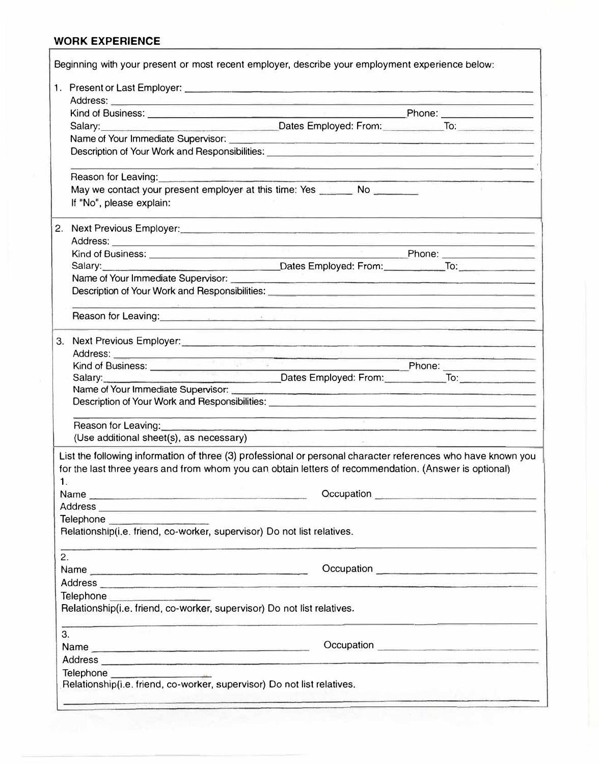## **WORK EXPERIENCE**

|                               | Beginning with your present or most recent employer, describe your employment experience below:                                                                                                                                                                 |  |  |  |  |
|-------------------------------|-----------------------------------------------------------------------------------------------------------------------------------------------------------------------------------------------------------------------------------------------------------------|--|--|--|--|
|                               |                                                                                                                                                                                                                                                                 |  |  |  |  |
|                               |                                                                                                                                                                                                                                                                 |  |  |  |  |
|                               |                                                                                                                                                                                                                                                                 |  |  |  |  |
|                               | Salary: Calary: Committee of the Committee of the Committee of the Contract Dates Employed: From: To:                                                                                                                                                           |  |  |  |  |
|                               |                                                                                                                                                                                                                                                                 |  |  |  |  |
|                               | Description of Your Work and Responsibilities: <b>with the Contract of Seconds</b> Contract of Your Work and Responsibilities:                                                                                                                                  |  |  |  |  |
|                               | <u> 1989 - Andrea Santa Andrea Andrea Andrea Andrea Andrea Andrea Andrea Andrea Andrea Andrea Andrea Andrea Andr</u><br>Reason for Leaving:                                                                                                                     |  |  |  |  |
|                               | May we contact your present employer at this time: Yes _______ No _______<br>If "No", please explain:                                                                                                                                                           |  |  |  |  |
|                               | 2. Next Previous Employer:                                                                                                                                                                                                                                      |  |  |  |  |
|                               |                                                                                                                                                                                                                                                                 |  |  |  |  |
|                               | Kind of Business: <u>New York: All Phone: New York: New York: New York: New York: New York: New York: New York: New York: New York: New York: New York: New York: New York: New York: New York: New York: New York: New York: Ne</u>                            |  |  |  |  |
|                               | Salary: Calary: Contest Employed: From: To: To: To: To: To:                                                                                                                                                                                                     |  |  |  |  |
|                               |                                                                                                                                                                                                                                                                 |  |  |  |  |
|                               | Description of Your Work and Responsibilities: <b>Constitution of Section 2018</b><br><u> 1987 - An Aonaichte ann an Aonaichte ann an Aonaichte ann an Aonaichte ann an Aonaichte ann an Aonaichte ann an </u>                                                  |  |  |  |  |
|                               | Reason for Leaving: <u>Alexander State and State and State and State and State and State and State and State and State and State and State and State and State and State and State and State and State and State and State and S</u>                            |  |  |  |  |
|                               | 3. Next Previous Employer:<br>and the contract of the contract of the contract of the contract of the contract of the contract of the contract of the contract of the contract of the contract of the contract of the contract o                                |  |  |  |  |
|                               |                                                                                                                                                                                                                                                                 |  |  |  |  |
|                               | Kind of Business: Phone: Phone:                                                                                                                                                                                                                                 |  |  |  |  |
| Dates Employed: From: To: To: |                                                                                                                                                                                                                                                                 |  |  |  |  |
|                               | Description of Your Work and Responsibilities: University of American American Control of Your Work and Responsibilities:                                                                                                                                       |  |  |  |  |
|                               | <u> 1980 - Antonio Alemania de Alemania de Alemania de Alemania de Alemania de Alemania de Alemania de Alemania d</u><br>Reason for Leaving:<br>the contract of the contract of the contract of the contract of the contract of the contract of the contract of |  |  |  |  |
|                               | (Use additional sheet(s), as necessary)<br>the control of the control of the control of                                                                                                                                                                         |  |  |  |  |
| $\mathbf{1}$ .                | List the following information of three (3) professional or personal character references who have known you<br>for the last three years and from whom you can obtain letters of recommendation. (Answer is optional)                                           |  |  |  |  |
|                               | Name<br>Occupation expression and the contract of the contract of the contract of the contract of the contract of the contract of the contract of the contract of the contract of the contract of the contract of the contract of the                           |  |  |  |  |
|                               | Address <b>Executive Contract Contract Contract Contract Contract Contract Contract Contract Contract Contract Contract Contract Contract Contract Contract Contract Contract Contract Contract Contract Contract Contract Contr</b>                            |  |  |  |  |
|                               | Telephone <b>Container and Container</b>                                                                                                                                                                                                                        |  |  |  |  |
|                               | Relationship(i.e. friend, co-worker, supervisor) Do not list relatives.<br>المستقبلين المستقبل المستقبل المستقبل المستقبل المستقبل المستقبل المستقبل المستقبل المستقبل المستقبل                                                                                 |  |  |  |  |
| 2.                            |                                                                                                                                                                                                                                                                 |  |  |  |  |
|                               | Name                                                                                                                                                                                                                                                            |  |  |  |  |
|                               |                                                                                                                                                                                                                                                                 |  |  |  |  |
|                               | Telephone _____________________<br>Relationship(i.e. friend, co-worker, supervisor) Do not list relatives.                                                                                                                                                      |  |  |  |  |
| 3.                            |                                                                                                                                                                                                                                                                 |  |  |  |  |
|                               |                                                                                                                                                                                                                                                                 |  |  |  |  |
|                               |                                                                                                                                                                                                                                                                 |  |  |  |  |
|                               | Telephone <u>_____________________</u>                                                                                                                                                                                                                          |  |  |  |  |
|                               | Relationship(i.e. friend, co-worker, supervisor) Do not list relatives.                                                                                                                                                                                         |  |  |  |  |
|                               |                                                                                                                                                                                                                                                                 |  |  |  |  |